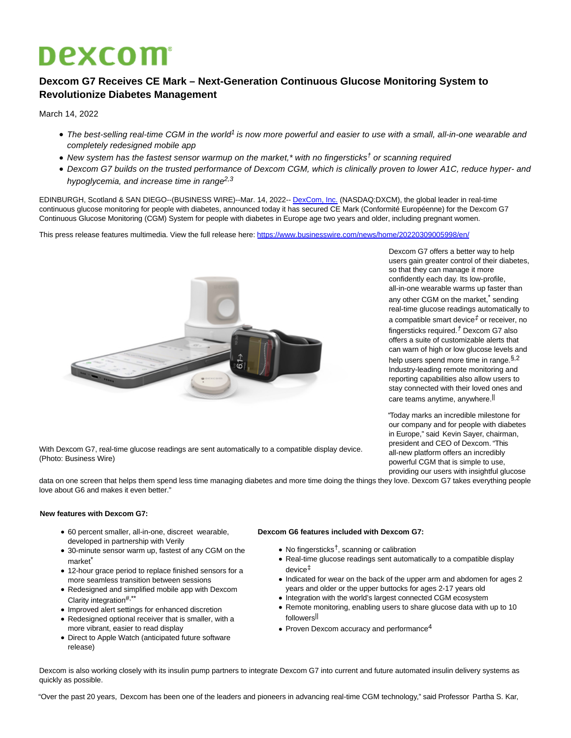# **Dexcom**

## **Dexcom G7 Receives CE Mark – Next-Generation Continuous Glucose Monitoring System to Revolutionize Diabetes Management**

March 14, 2022

- The best-selling real-time CGM in the world<sup>1</sup> is now more powerful and easier to use with a small, all-in-one wearable and completely redesigned mobile app
- New system has the fastest sensor warmup on the market,\* with no fingersticks<sup>†</sup> or scanning required
- Dexcom G7 builds on the trusted performance of Dexcom CGM, which is clinically proven to lower A1C, reduce hyper- and hypoglycemia, and increase time in range<sup>2,3</sup>

EDINBURGH, Scotland & SAN DIEGO--(BUSINESS WIRE)--Mar. 14, 2022-[- DexCom, Inc. \(](https://cts.businesswire.com/ct/CT?id=smartlink&url=http%3A%2F%2Fwww.dexcom.com%2F&esheet=52592884&newsitemid=20220309005998&lan=en-US&anchor=DexCom%2C+Inc.&index=1&md5=dced2f0808fe777b598e7fa9fcec16a0)NASDAQ:DXCM), the global leader in real-time continuous glucose monitoring for people with diabetes, announced today it has secured CE Mark (Conformité Européenne) for the Dexcom G7 Continuous Glucose Monitoring (CGM) System for people with diabetes in Europe age two years and older, including pregnant women.

This press release features multimedia. View the full release here:<https://www.businesswire.com/news/home/20220309005998/en/>



Dexcom G7 offers a better way to help users gain greater control of their diabetes, so that they can manage it more confidently each day. Its low-profile, all-in-one wearable warms up faster than any other CGM on the market,<sup>\*</sup> sending real-time glucose readings automatically to a compatible smart device $<sup>\sharp</sup>$  or receiver, no</sup> fingersticks required.<sup> $†$ </sup> Dexcom G7 also offers a suite of customizable alerts that can warn of high or low glucose levels and help users spend more time in range. §, 2 Industry-leading remote monitoring and reporting capabilities also allow users to stay connected with their loved ones and care teams anytime, anywhere.<sup>||</sup>

"Today marks an incredible milestone for our company and for people with diabetes in Europe," said Kevin Sayer, chairman, president and CEO of Dexcom. "This all-new platform offers an incredibly powerful CGM that is simple to use, providing our users with insightful glucose

With Dexcom G7, real-time glucose readings are sent automatically to a compatible display device. (Photo: Business Wire)

data on one screen that helps them spend less time managing diabetes and more time doing the things they love. Dexcom G7 takes everything people love about G6 and makes it even better."

### **New features with Dexcom G7:**

- 60 percent smaller, all-in-one, discreet wearable, developed in partnership with Verily
- 30-minute sensor warm up, fastest of any CGM on the market<sup>\*</sup>
- 12-hour grace period to replace finished sensors for a more seamless transition between sessions
- Redesigned and simplified mobile app with Dexcom Clarity integration<sup>#,\*\*</sup>
- Improved alert settings for enhanced discretion
- Redesigned optional receiver that is smaller, with a more vibrant, easier to read display
- Direct to Apple Watch (anticipated future software release)

### **Dexcom G6 features included with Dexcom G7:**

- $\bullet$  No fingersticks<sup>†</sup>, scanning or calibration
- Real-time glucose readings sent automatically to a compatible display device‡
- Indicated for wear on the back of the upper arm and abdomen for ages 2 years and older or the upper buttocks for ages 2-17 years old
- Integration with the world's largest connected CGM ecosystem Remote monitoring, enabling users to share glucose data with up to 10 followers||
- $\bullet$  Proven Dexcom accuracy and performance<sup>4</sup>

Dexcom is also working closely with its insulin pump partners to integrate Dexcom G7 into current and future automated insulin delivery systems as quickly as possible.

"Over the past 20 years, Dexcom has been one of the leaders and pioneers in advancing real-time CGM technology," said Professor Partha S. Kar,